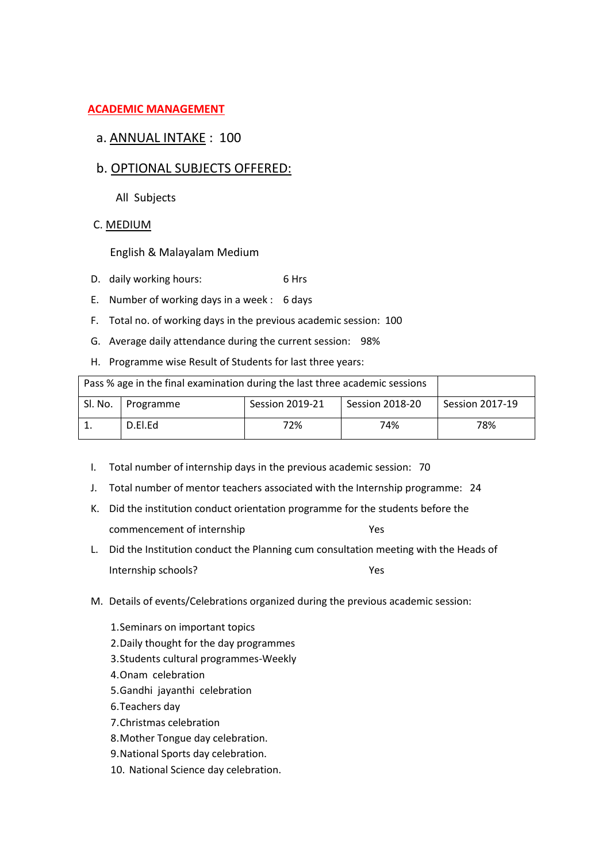## **ACADEMIC MANAGEMENT**

## a. ANNUAL INTAKE : 100

## b. OPTIONAL SUBJECTS OFFERED:

All Subjects

C. MEDIUM

English & Malayalam Medium

- D. daily working hours: 6 Hrs
- E. Number of working days in a week : 6 days
- F. Total no. of working days in the previous academic session: 100
- G. Average daily attendance during the current session: 98%
- H. Programme wise Result of Students for last three years:

| Pass % age in the final examination during the last three academic sessions |                     |                 |                        |                        |
|-----------------------------------------------------------------------------|---------------------|-----------------|------------------------|------------------------|
|                                                                             | Sl. No.   Programme | Session 2019-21 | <b>Session 2018-20</b> | <b>Session 2017-19</b> |
|                                                                             | D.El.Ed             | 72%             | 74%                    | 78%                    |

- I. Total number of internship days in the previous academic session: 70
- J. Total number of mentor teachers associated with the Internship programme: 24
- K. Did the institution conduct orientation programme for the students before the commencement of internship Theorem 2012
- L. Did the Institution conduct the Planning cum consultation meeting with the Heads of Internship schools? Yes
- M. Details of events/Celebrations organized during the previous academic session:
	- 1.Seminars on important topics
	- 2.Daily thought for the day programmes
	- 3.Students cultural programmes-Weekly
	- 4.Onam celebration
	- 5.Gandhi jayanthi celebration
	- 6.Teachers day
	- 7.Christmas celebration
	- 8.Mother Tongue day celebration.
	- 9.National Sports day celebration.
	- 10. National Science day celebration.